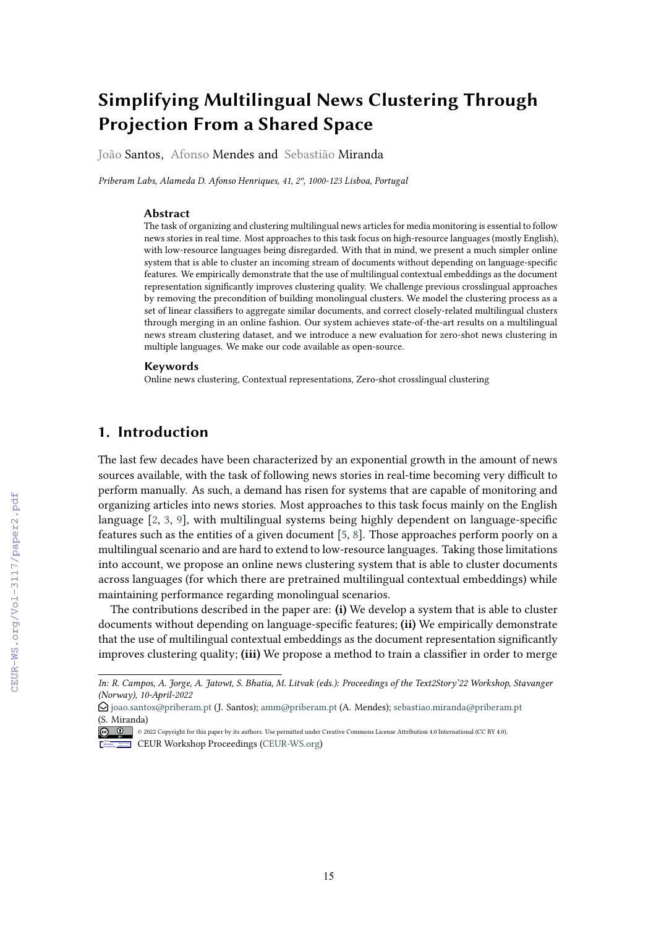# **Simplifying Multilingual News Clustering Through Projection From a Shared Space**

João Santos, Afonso Mendes and Sebastião Miranda

*Priberam Labs, Alameda D. Afonso Henriques, 41, 2º, 1000-123 Lisboa, Portugal*

#### **Abstract**

The task of organizing and clustering multilingual news articles for media monitoring is essential to follow news stories in real time. Most approaches to this task focus on high-resource languages (mostly English), with low-resource languages being disregarded. With that in mind, we present a much simpler online system that is able to cluster an incoming stream of documents without depending on language-specifc features. We empirically demonstrate that the use of multilingual contextual embeddings as the document representation signifcantly improves clustering quality. We challenge previous crosslingual approaches by removing the precondition of building monolingual clusters. We model the clustering process as a set of linear classifers to aggregate similar documents, and correct closely-related multilingual clusters through merging in an online fashion. Our system achieves state-of-the-art results on a multilingual news stream clustering dataset, and we introduce a new evaluation for zero-shot news clustering in multiple languages. We make our code available as open-source.

#### **Keywords**

Online news clustering, Contextual representations, Zero-shot crosslingual clustering

# **1. Introduction**

The last few decades have been characterized by an exponential growth in the amount of news sources available, with the task of following news stories in real-time becoming very difficult to perform manually. As such, a demand has risen for systems that are capable of monitoring and organizing articles into news stories. Most approaches to this task focus mainly on the English language [\[2,](#page--1-0) [3,](#page--1-1) [9\]](#page--1-2), with multilingual systems being highly dependent on language-specifc features such as the entities of a given document [\[5,](#page--1-3) [8\]](#page--1-4). Those approaches perform poorly on a multilingual scenario and are hard to extend to low-resource languages. Taking those limitations into account, we propose an online news clustering system that is able to cluster documents across languages (for which there are pretrained multilingual contextual embeddings) while maintaining performance regarding monolingual scenarios.

The contributions described in the paper are: **(i)** We develop a system that is able to cluster documents without depending on language-specifc features; **(ii)** We empirically demonstrate that the use of multilingual contextual embeddings as the document representation signifcantly improves clustering quality; **(iii)** We propose a method to train a classifer in order to merge

*In: R. Campos, A. Jorge, A. Jatowt, S. Bhatia, M. Litvak (eds.): Proceedings of the Text2Story'22 Workshop, Stavanger (Norway), 10-April-2022*

<sup>£</sup> [joao.santos@priberam.pt](mailto:joao.santos@priberam.pt) (J. Santos); [amm@priberam.pt](mailto:amm@priberam.pt) (A. Mendes); [sebastiao.miranda@priberam.pt](mailto:sebastiao.miranda@priberam.pt) (S. Miranda)

<sup>© 2022</sup> Copyright for this paper by its authors. Use permitted under Creative Commons License Attribution 4.0 International (CC BY 4.0). Workshop [Proceedings](http://ceur-ws.org) **EDIA** CEUR Workshop Proceedings [\(CEUR-WS.org\)](http://ceur-ws.org)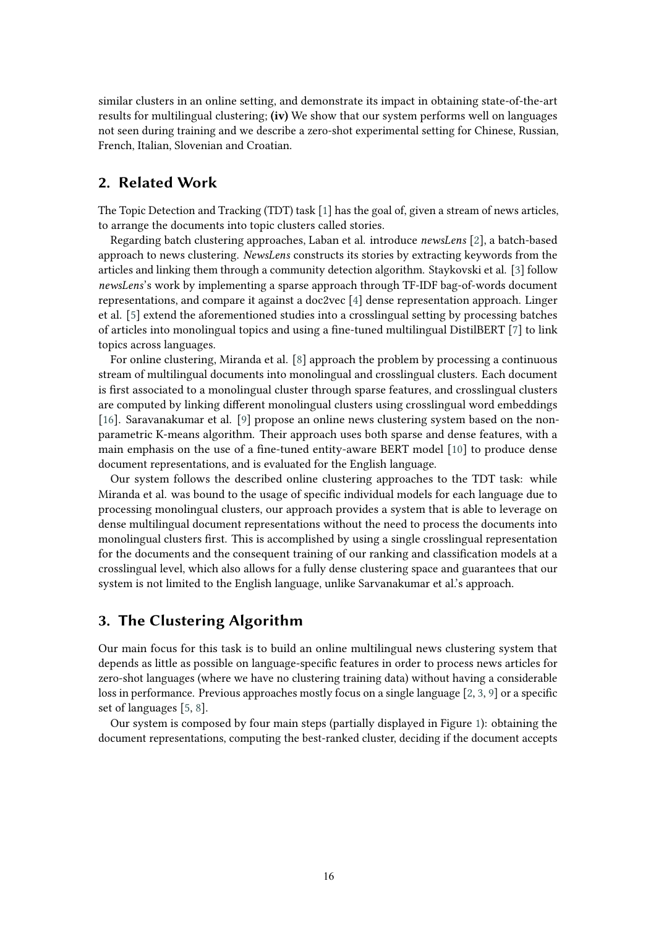similar clusters in an online setting, and demonstrate its impact in obtaining state-of-the-art results for multilingual clustering; **(iv)** We show that our system performs well on languages not seen during training and we describe a zero-shot experimental setting for Chinese, Russian, French, Italian, Slovenian and Croatian.

## **2. Related Work**

The Topic Detection and Tracking (TDT) task [\[1\]](#page-8-0) has the goal of, given a stream of news articles, to arrange the documents into topic clusters called stories.

Regarding batch clustering approaches, Laban et al. introduce *newsLens* [\[2\]](#page-8-1), a batch-based approach to news clustering. *NewsLens* constructs its stories by extracting keywords from the articles and linking them through a community detection algorithm. Staykovski et al. [\[3\]](#page-8-2) follow *newsLens*'s work by implementing a sparse approach through TF-IDF bag-of-words document representations, and compare it against a doc2vec [\[4\]](#page-8-3) dense representation approach. Linger et al. [\[5\]](#page-8-4) extend the aforementioned studies into a crosslingual setting by processing batches of articles into monolingual topics and using a fne-tuned multilingual DistilBERT [\[7\]](#page-8-5) to link topics across languages.

For online clustering, Miranda et al. [\[8\]](#page-8-6) approach the problem by processing a continuous stream of multilingual documents into monolingual and crosslingual clusters. Each document is frst associated to a monolingual cluster through sparse features, and crosslingual clusters are computed by linking diferent monolingual clusters using crosslingual word embeddings [\[16\]](#page-9-0). Saravanakumar et al. [\[9\]](#page-8-7) propose an online news clustering system based on the nonparametric K-means algorithm. Their approach uses both sparse and dense features, with a main emphasis on the use of a fne-tuned entity-aware BERT model [\[10\]](#page-8-8) to produce dense document representations, and is evaluated for the English language.

Our system follows the described online clustering approaches to the TDT task: while Miranda et al. was bound to the usage of specifc individual models for each language due to processing monolingual clusters, our approach provides a system that is able to leverage on dense multilingual document representations without the need to process the documents into monolingual clusters frst. This is accomplished by using a single crosslingual representation for the documents and the consequent training of our ranking and classifcation models at a crosslingual level, which also allows for a fully dense clustering space and guarantees that our system is not limited to the English language, unlike Sarvanakumar et al.'s approach.

# **3. The Clustering Algorithm**

Our main focus for this task is to build an online multilingual news clustering system that depends as little as possible on language-specifc features in order to process news articles for zero-shot languages (where we have no clustering training data) without having a considerable loss in performance. Previous approaches mostly focus on a single language [\[2,](#page-8-1) [3,](#page-8-2) [9\]](#page-8-7) or a specifc set of languages [\[5,](#page-8-4) [8\]](#page-8-6).

Our system is composed by four main steps (partially displayed in Figure [1\)](#page-2-0): obtaining the document representations, computing the best-ranked cluster, deciding if the document accepts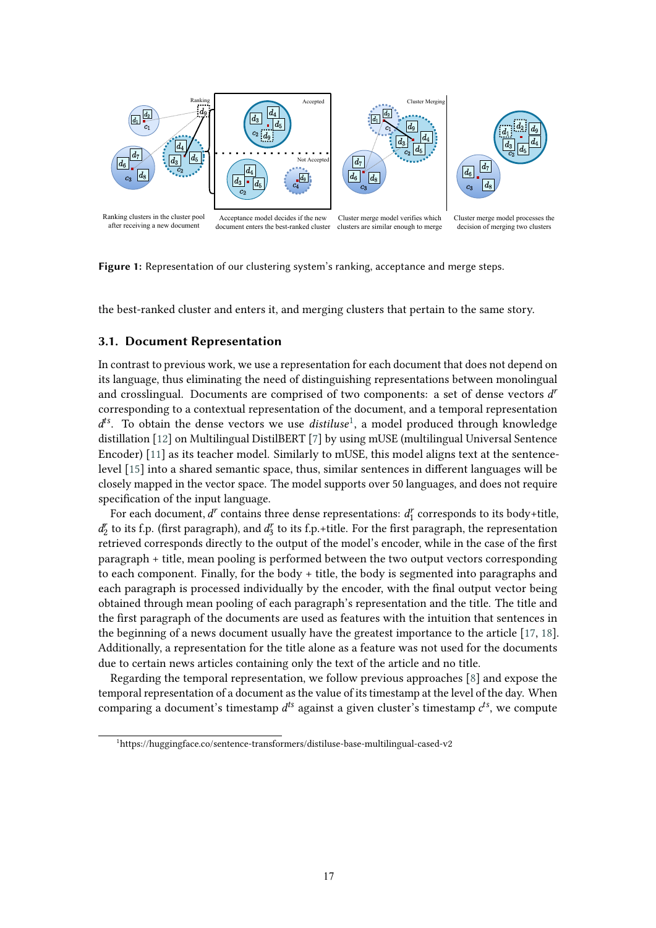

<span id="page-2-0"></span>**Figure 1:** Representation of our clustering system's ranking, acceptance and merge steps.

the best-ranked cluster and enters it, and merging clusters that pertain to the same story.

#### **3.1. Document Representation**

In contrast to previous work, we use a representation for each document that does not depend on its language, thus eliminating the need of distinguishing representations between monolingual and crosslingual. Documents are comprised of two components: a set of dense vectors  $d^r$ corresponding to a contextual representation of the document, and a temporal representation . To obtain the dense vectors we use *distiluse*[1,](#page-2-1) a model produced through knowledge distillation [\[12\]](#page-8-9) on Multilingual DistilBERT [\[7\]](#page-8-5) by using mUSE (multilingual Universal Sentence Encoder) [\[11\]](#page-8-10) as its teacher model. Similarly to mUSE, this model aligns text at the sentencelevel [\[15\]](#page-9-1) into a shared semantic space, thus, similar sentences in diferent languages will be closely mapped in the vector space. The model supports over 50 languages, and does not require specifcation of the input language.

For each document,  $d^r$  contains three dense representations:  $d_1^r$  corresponds to its body+title,  $d_2^r$  to its f.p. (first paragraph), and  $d_3^r$  to its f.p.+title. For the first paragraph, the representation retrieved corresponds directly to the output of the model's encoder, while in the case of the frst paragraph + title, mean pooling is performed between the two output vectors corresponding to each component. Finally, for the body + title, the body is segmented into paragraphs and each paragraph is processed individually by the encoder, with the fnal output vector being obtained through mean pooling of each paragraph's representation and the title. The title and the frst paragraph of the documents are used as features with the intuition that sentences in the beginning of a news document usually have the greatest importance to the article [\[17,](#page-9-2) [18\]](#page-9-3). Additionally, a representation for the title alone as a feature was not used for the documents due to certain news articles containing only the text of the article and no title.

Regarding the temporal representation, we follow previous approaches [\[8\]](#page-8-6) and expose the temporal representation of a document as the value of its timestamp at the level of the day. When comparing a document's timestamp  $d^{ts}$  against a given cluster's timestamp  $c^{ts}$ , we compute

<span id="page-2-1"></span><sup>1</sup> https://huggingface.co/sentence-transformers/distiluse-base-multilingual-cased-v2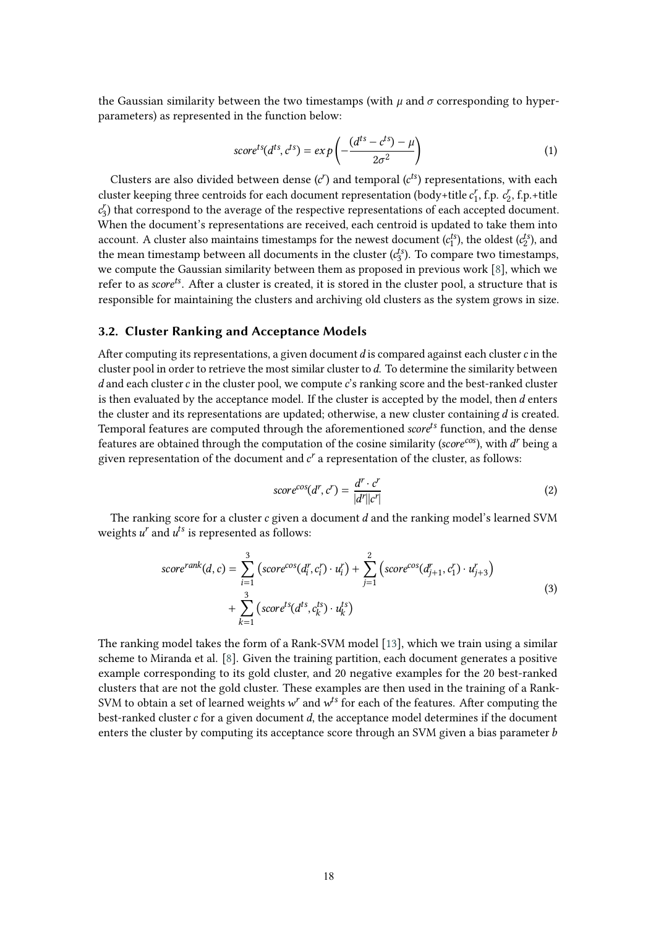the Gaussian similarity between the two timestamps (with  $\mu$  and  $\sigma$  corresponding to hyperparameters) as represented in the function below:

$$
score^{ts}(d^{ts}, c^{ts}) = exp\left(-\frac{(d^{ts} - c^{ts}) - \mu}{2\sigma^2}\right)
$$
\n(1)

Clusters are also divided between dense  $(c<sup>r</sup>)$  and temporal  $(c<sup>ts</sup>)$  representations, with each cluster keeping three centroids for each document representation (body+title  $c_1^r$ , f.p.  $c_2^r$ , f.p.+title  $c_3$ ) that correspond to the average of the respective representations of each accepted document. When the document's representations are received, each centroid is updated to take them into account. A cluster also maintains timestamps for the newest document  $(c_1^{ts})$ , the oldest  $(c_2^{ts})$ , and the mean timestamp between all documents in the cluster  $(c_3^{ts})$ . To compare two timestamps, we compute the Gaussian similarity between them as proposed in previous work [\[8\]](#page-8-6), which we refer to as score<sup>ts</sup>. After a cluster is created, it is stored in the cluster pool, a structure that is responsible for maintaining the clusters and archiving old clusters as the system grows in size.

### <span id="page-3-0"></span>**3.2. Cluster Ranking and Acceptance Models**

After computing its representations, a given document  $d$  is compared against each cluster  $c$  in the cluster pool in order to retrieve the most similar cluster to  $d$ . To determine the similarity between d and each cluster  $c$  in the cluster pool, we compute  $c'$ s ranking score and the best-ranked cluster is then evaluated by the acceptance model. If the cluster is accepted by the model, then d enters the cluster and its representations are updated; otherwise, a new cluster containing  $d$  is created. Temporal features are computed through the aforementioned  $score^{ts}$  function, and the dense features are obtained through the computation of the cosine similarity ( $score^{cos}$ ), with  $d^r$  being a given representation of the document and  $c<sup>r</sup>$  a representation of the cluster, as follows:

$$
score^{cos}(d^r, c^r) = \frac{d^r \cdot c^r}{|d^r||c^r|}
$$
\n(2)

The ranking score for a cluster  $c$  given a document  $d$  and the ranking model's learned SVM weights  $u^r$  and  $u^{ts}$  is represented as follows:

$$
score^{rank}(d, c) = \sum_{i=1}^{3} (score^{cos}(d_i^r, c_i^r) \cdot u_i^r) + \sum_{j=1}^{2} (score^{cos}(d_{j+1}^r, c_1^r) \cdot u_{j+3}^r) + \sum_{k=1}^{3} (score^{ts}(d^{ts}, c_k^{ts}) \cdot u_k^{ts})
$$
\n(3)

The ranking model takes the form of a Rank-SVM model [\[13\]](#page-9-4), which we train using a similar scheme to Miranda et al. [\[8\]](#page-8-6). Given the training partition, each document generates a positive example corresponding to its gold cluster, and 20 negative examples for the 20 best-ranked clusters that are not the gold cluster. These examples are then used in the training of a Rank-SVM to obtain a set of learned weights  $w^r$  and  $w^{ts}$  for each of the features. After computing the best-ranked cluster  $c$  for a given document  $d$ , the acceptance model determines if the document enters the cluster by computing its acceptance score through an SVM given a bias parameter  $b$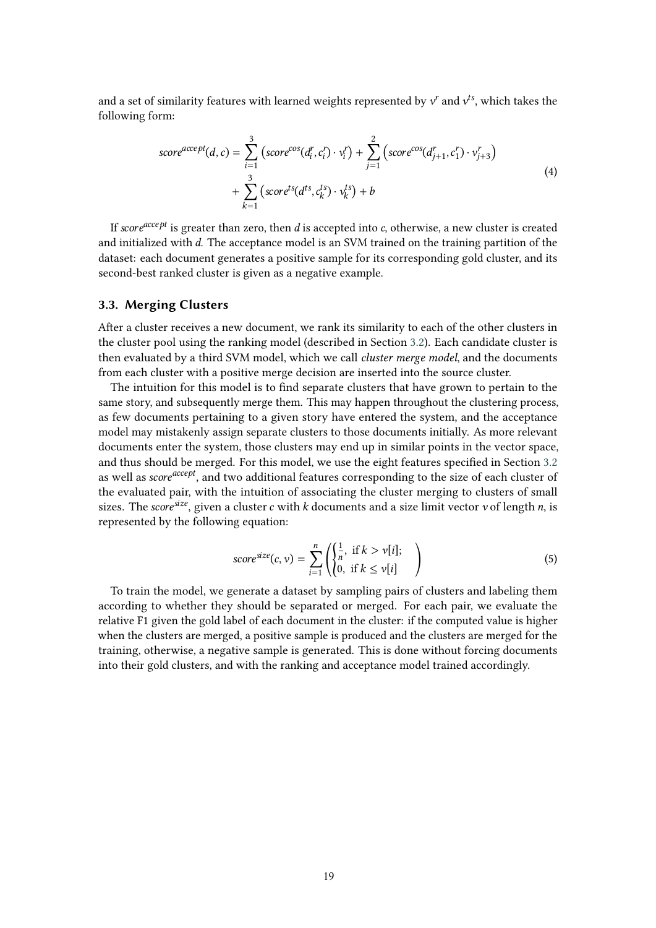and a set of similarity features with learned weights represented by  $v^r$  and  $v^{ts}$ , which takes the following form:

$$
score^{accept}(d, c) = \sum_{i=1}^{3} (score^{cos}(d_i^r, c_i^r) \cdot v_i^r) + \sum_{j=1}^{2} (score^{cos}(d_{j+1}^r, c_1^r) \cdot v_{j+3}^r) + \sum_{k=1}^{3} (score^{ts}(d^{ts}, c_k^{ts}) \cdot v_k^{ts}) + b
$$
\n(4)

If score accept is greater than zero, then d is accepted into c, otherwise, a new cluster is created and initialized with  $d$ . The acceptance model is an SVM trained on the training partition of the dataset: each document generates a positive sample for its corresponding gold cluster, and its second-best ranked cluster is given as a negative example.

### **3.3. Merging Clusters**

Afer a cluster receives a new document, we rank its similarity to each of the other clusters in the cluster pool using the ranking model (described in Section [3.2\)](#page-3-0). Each candidate cluster is then evaluated by a third SVM model, which we call *cluster merge model*, and the documents from each cluster with a positive merge decision are inserted into the source cluster.

The intuition for this model is to fnd separate clusters that have grown to pertain to the same story, and subsequently merge them. This may happen throughout the clustering process, as few documents pertaining to a given story have entered the system, and the acceptance model may mistakenly assign separate clusters to those documents initially. As more relevant documents enter the system, those clusters may end up in similar points in the vector space, and thus should be merged. For this model, we use the eight features specifed in Section [3.2](#page-3-0) as well as  $score^{accept}$ , and two additional features corresponding to the size of each cluster of the evaluated pair, with the intuition of associating the cluster merging to clusters of small sizes. The score<sup>size</sup>, given a cluster c with k documents and a size limit vector v of length n, is represented by the following equation:

$$
score^{size}(c, v) = \sum_{i=1}^{n} \left( \begin{cases} \frac{1}{n}, \text{ if } k > v[i];\\ 0, \text{ if } k \le v[i] \end{cases} \right) \tag{5}
$$

To train the model, we generate a dataset by sampling pairs of clusters and labeling them according to whether they should be separated or merged. For each pair, we evaluate the relative F1 given the gold label of each document in the cluster: if the computed value is higher when the clusters are merged, a positive sample is produced and the clusters are merged for the training, otherwise, a negative sample is generated. This is done without forcing documents into their gold clusters, and with the ranking and acceptance model trained accordingly.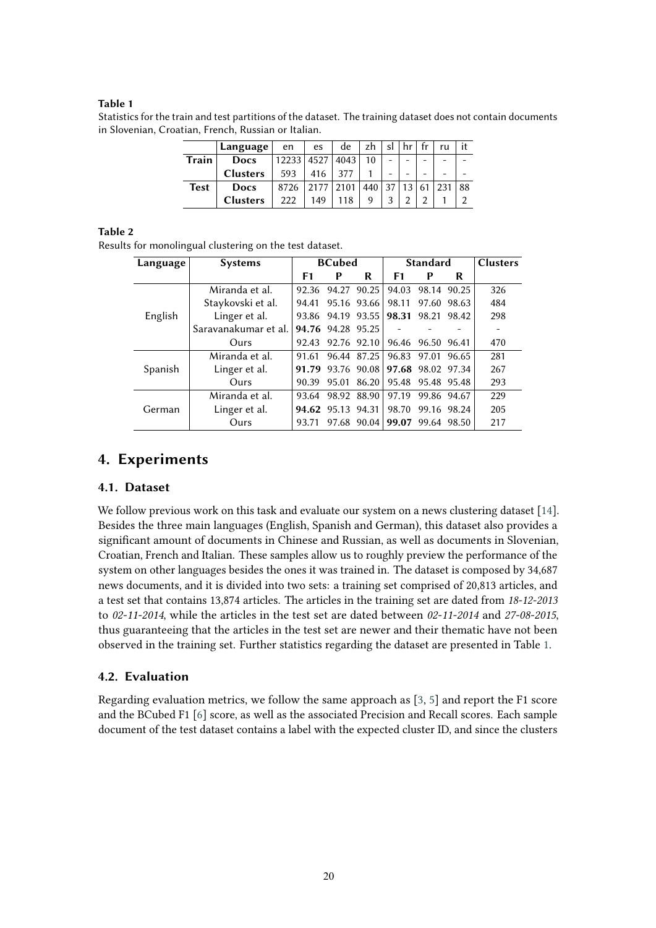#### <span id="page-5-0"></span>**Table 1**

Statistics for the train and test partitions of the dataset. The training dataset does not contain documents in Slovenian, Croatian, French, Russian or Italian.

|              | Language        | en    | es   | de   | zh  | sl |    | ru  | it |
|--------------|-----------------|-------|------|------|-----|----|----|-----|----|
| <b>Train</b> | <b>Docs</b>     | 12233 | 4527 | 4043 | 10  | -  |    |     |    |
|              | <b>Clusters</b> | 593   | 416  | 377  |     |    |    |     |    |
| <b>Test</b>  | <b>Docs</b>     | 8726  |      | 2101 | 440 | 27 | 13 | 231 | 88 |
|              | <b>Clusters</b> | 222   | 149  | 118  | q   |    |    |     |    |

#### <span id="page-5-1"></span>**Table 2**

Results for monolingual clustering on the test dataset.

| Language | <b>Systems</b>       | <b>BCubed</b> |                   |             | <b>Standard</b>   |             |       | <b>Clusters</b> |
|----------|----------------------|---------------|-------------------|-------------|-------------------|-------------|-------|-----------------|
|          |                      | F1            | P                 | R           | F1                | Р           | R     |                 |
| English  | Miranda et al.       | 92.36         | 94.27             | 90.25       | 94.03             | 98.14       | 90.25 | 326             |
|          | Staykovski et al.    | 94.41         |                   | 95.16 93.66 | 98.11             | 97.60       | 98.63 | 484             |
|          | Linger et al.        | 93.86         | 94.19             | 93.55       | 98.31             | 98.21       | 98.42 | 298             |
|          | Saravanakumar et al. |               | 94.76 94.28 95.25 |             |                   |             |       |                 |
|          | Ours                 | 92.43         |                   | 92.76 92.10 | 96.46             | 96.50 96.41 |       | 470             |
| Spanish  | Miranda et al.       | 91.61         |                   | 96.44 87.25 | 96.83             | 97.01       | 96.65 | 281             |
|          | Linger et al.        | 91.79         |                   | 93.76 90.08 | 97.68 98.02 97.34 |             |       | 267             |
|          | Ours                 | 90.39         | 95.01             | 86.20       | 95.48             | 95.48 95.48 |       | 293             |
| German   | Miranda et al.       | 93.64         |                   | 98.92 88.90 | 97.19             | 99.86 94.67 |       | 229             |
|          | Linger et al.        |               | 94.62 95.13 94.31 |             | 98.70             | 99.16 98.24 |       | 205             |
|          | Ours                 | 93.71         | 97.68             | 90.04       | 99.07             | 99.64 98.50 |       | 217             |

### **4. Experiments**

### **4.1. Dataset**

We follow previous work on this task and evaluate our system on a news clustering dataset [\[14\]](#page-9-5). Besides the three main languages (English, Spanish and German), this dataset also provides a signifcant amount of documents in Chinese and Russian, as well as documents in Slovenian, Croatian, French and Italian. These samples allow us to roughly preview the performance of the system on other languages besides the ones it was trained in. The dataset is composed by 34,687 news documents, and it is divided into two sets: a training set comprised of 20,813 articles, and a test set that contains 13,874 articles. The articles in the training set are dated from *18-12-2013* to *02-11-2014*, while the articles in the test set are dated between *02-11-2014* and *27-08-2015*, thus guaranteeing that the articles in the test set are newer and their thematic have not been observed in the training set. Further statistics regarding the dataset are presented in Table [1.](#page-5-0)

### **4.2. Evaluation**

Regarding evaluation metrics, we follow the same approach as [\[3,](#page-8-2) [5\]](#page-8-4) and report the F1 score and the BCubed F1 [\[6\]](#page-8-11) score, as well as the associated Precision and Recall scores. Each sample document of the test dataset contains a label with the expected cluster ID, and since the clusters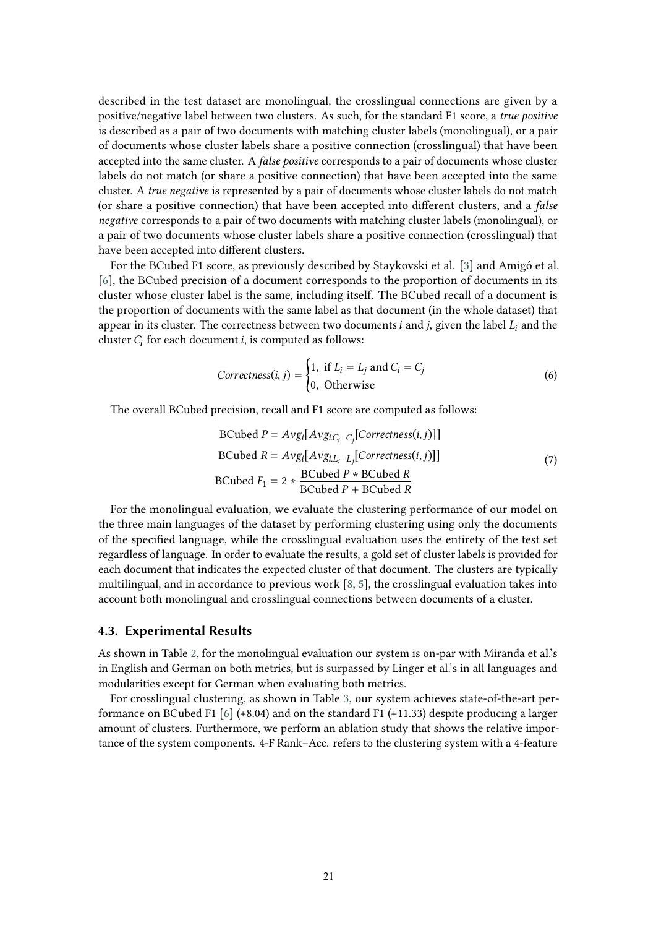described in the test dataset are monolingual, the crosslingual connections are given by a positive/negative label between two clusters. As such, for the standard F1 score, a *true positive* is described as a pair of two documents with matching cluster labels (monolingual), or a pair of documents whose cluster labels share a positive connection (crosslingual) that have been accepted into the same cluster. A *false positive* corresponds to a pair of documents whose cluster labels do not match (or share a positive connection) that have been accepted into the same cluster. A *true negative* is represented by a pair of documents whose cluster labels do not match (or share a positive connection) that have been accepted into diferent clusters, and a *false negative* corresponds to a pair of two documents with matching cluster labels (monolingual), or a pair of two documents whose cluster labels share a positive connection (crosslingual) that have been accepted into diferent clusters.

For the BCubed F1 score, as previously described by Staykovski et al. [\[3\]](#page-8-2) and Amigó et al. [\[6\]](#page-8-11), the BCubed precision of a document corresponds to the proportion of documents in its cluster whose cluster label is the same, including itself. The BCubed recall of a document is the proportion of documents with the same label as that document (in the whole dataset) that appear in its cluster. The correctness between two documents  $i$  and  $j$ , given the label  $L_i$  and the cluster  $C_i$  for each document *i*, is computed as follows:

$$
Correctness(i, j) = \begin{cases} 1, & \text{if } L_i = L_j \text{ and } C_i = C_j \\ 0, & \text{Otherwise} \end{cases}
$$
 (6)

The overall BCubed precision, recall and F1 score are computed as follows:

BCubed 
$$
P = Avg_i[Avg_{i.C_i=C_j}[Correctness(i, j)]]
$$

\nBCubed  $R = Avg_i[Avg_{i.L_i=L_j}[Correctness(i, j)]]$ 

\nBCubed  $F_1 = 2 * \frac{\text{BCubed } P * \text{BCubed } R}{\text{BCubed } P + \text{BCubed } R}$ 

\n(7)

For the monolingual evaluation, we evaluate the clustering performance of our model on the three main languages of the dataset by performing clustering using only the documents of the specifed language, while the crosslingual evaluation uses the entirety of the test set regardless of language. In order to evaluate the results, a gold set of cluster labels is provided for each document that indicates the expected cluster of that document. The clusters are typically multilingual, and in accordance to previous work [\[8,](#page-8-6) [5\]](#page-8-4), the crosslingual evaluation takes into account both monolingual and crosslingual connections between documents of a cluster.

#### **4.3. Experimental Results**

As shown in Table [2,](#page-5-1) for the monolingual evaluation our system is on-par with Miranda et al.'s in English and German on both metrics, but is surpassed by Linger et al.'s in all languages and modularities except for German when evaluating both metrics.

For crosslingual clustering, as shown in Table [3,](#page-7-0) our system achieves state-of-the-art performance on BCubed F1 [\[6\]](#page-8-11) (+8.04) and on the standard F1 (+11.33) despite producing a larger amount of clusters. Furthermore, we perform an ablation study that shows the relative importance of the system components. 4-F Rank+Acc. refers to the clustering system with a 4-feature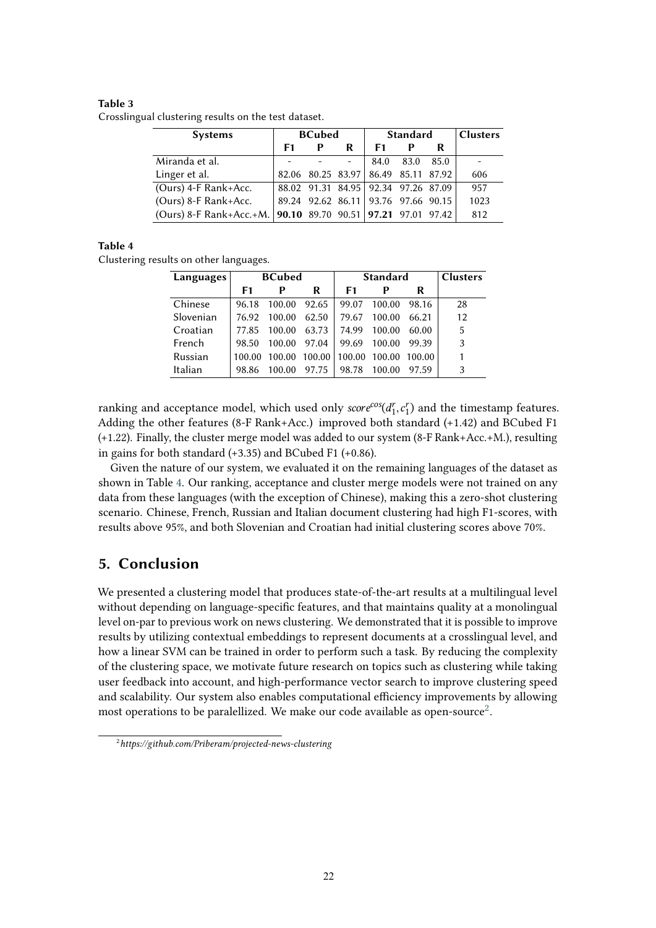#### <span id="page-7-0"></span>**Table 3**

Crosslingual clustering results on the test dataset.

| <b>Systems</b>                                              | <b>BCubed</b> |   |   | <b>Standard</b>                     | <b>Clusters</b> |   |      |
|-------------------------------------------------------------|---------------|---|---|-------------------------------------|-----------------|---|------|
|                                                             | F1            | P | R | F1                                  |                 | R |      |
| Miranda et al.                                              |               |   |   | 84.0                                | 83.0 85.0       |   |      |
| Linger et al.                                               |               |   |   | 82.06 80.25 83.97 86.49 85.11 87.92 |                 |   | 606  |
| (Ours) 4-F Rank+Acc.                                        |               |   |   | 88.02 91.31 84.95 92.34 97.26 87.09 |                 |   | 957  |
| (Ours) 8-F Rank+Acc.                                        |               |   |   | 89.24 92.62 86.11 93.76 97.66 90.15 |                 |   | 1023 |
| (Ours) 8-F Rank+Acc.+M. 90.10 89.70 90.51 97.21 97.01 97.42 |               |   |   |                                     |                 |   | 812  |

#### <span id="page-7-1"></span>**Table 4**

Clustering results on other languages.

| Languages      | <b>BCubed</b> |        |        | <b>Standard</b> | <b>Clusters</b> |        |    |
|----------------|---------------|--------|--------|-----------------|-----------------|--------|----|
|                | F1            | р      | R      | F1              |                 | R      |    |
| Chinese        | 96.18         | 100.00 | 92.65  | 99.07           | 100.00          | 98.16  | 28 |
| Slovenian      | 76.92         | 100.00 | 62.50  | 79.67           | 100.00          | 66.21  | 12 |
| Croatian       | 77.85         | 100.00 | 63.73  | 74.99           | 100.00          | 60.00  | 5  |
| French         | 98.50         | 100.00 | 97.04  | 99.69           | 100.00          | 99.39  | 3  |
| Russian        | 100.00        | 100.00 | 100.00 | 100.00          | 100.00          | 100.00 |    |
| <b>Italian</b> | 98.86         | 100.00 | 97.75  | 98.78           | 100.00          | 97.59  | 3  |

ranking and acceptance model, which used only  $score^{cos}(d_1^r, c_1^r)$  and the timestamp features. Adding the other features (8-F Rank+Acc.) improved both standard (+1.42) and BCubed F1 (+1.22). Finally, the cluster merge model was added to our system (8-F Rank+Acc.+M.), resulting in gains for both standard (+3.35) and BCubed F1 (+0.86).

Given the nature of our system, we evaluated it on the remaining languages of the dataset as shown in Table [4.](#page-7-1) Our ranking, acceptance and cluster merge models were not trained on any data from these languages (with the exception of Chinese), making this a zero-shot clustering scenario. Chinese, French, Russian and Italian document clustering had high F1-scores, with results above 95%, and both Slovenian and Croatian had initial clustering scores above 70%.

# **5. Conclusion**

We presented a clustering model that produces state-of-the-art results at a multilingual level without depending on language-specifc features, and that maintains quality at a monolingual level on-par to previous work on news clustering. We demonstrated that it is possible to improve results by utilizing contextual embeddings to represent documents at a crosslingual level, and how a linear SVM can be trained in order to perform such a task. By reducing the complexity of the clustering space, we motivate future research on topics such as clustering while taking user feedback into account, and high-performance vector search to improve clustering speed and scalability. Our system also enables computational efficiency improvements by allowing most operations to be paralellized. We make our code available as open-source<sup>2</sup>.

<span id="page-7-2"></span><sup>2</sup> *https://github.com/Priberam/projected-news-clustering*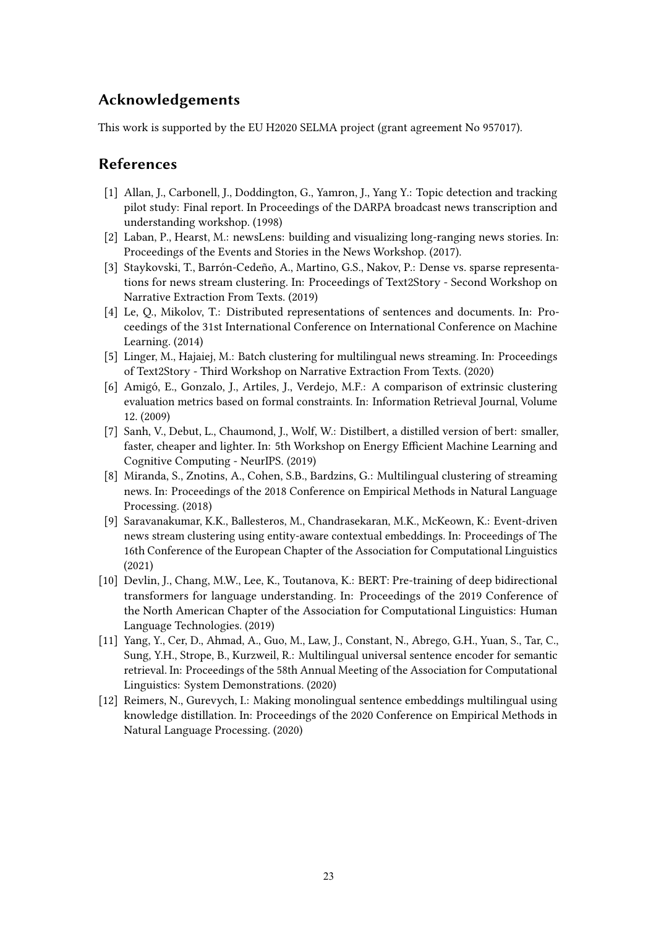# **Acknowledgements**

This work is supported by the EU H2020 SELMA project (grant agreement No 957017).

# **References**

- <span id="page-8-0"></span>[1] Allan, J., Carbonell, J., Doddington, G., Yamron, J., Yang Y.: Topic detection and tracking pilot study: Final report. In Proceedings of the DARPA broadcast news transcription and understanding workshop. (1998)
- <span id="page-8-1"></span>[2] Laban, P., Hearst, M.: newsLens: building and visualizing long-ranging news stories. In: Proceedings of the Events and Stories in the News Workshop. (2017).
- <span id="page-8-2"></span>[3] Staykovski, T., Barrón-Cedeño, A., Martino, G.S., Nakov, P.: Dense vs. sparse representations for news stream clustering. In: Proceedings of Text2Story - Second Workshop on Narrative Extraction From Texts. (2019)
- <span id="page-8-3"></span>[4] Le, Q., Mikolov, T.: Distributed representations of sentences and documents. In: Proceedings of the 31st International Conference on International Conference on Machine Learning. (2014)
- <span id="page-8-4"></span>[5] Linger, M., Hajaiej, M.: Batch clustering for multilingual news streaming. In: Proceedings of Text2Story - Third Workshop on Narrative Extraction From Texts. (2020)
- <span id="page-8-11"></span>[6] Amigó, E., Gonzalo, J., Artiles, J., Verdejo, M.F.: A comparison of extrinsic clustering evaluation metrics based on formal constraints. In: Information Retrieval Journal, Volume 12. (2009)
- <span id="page-8-5"></span>[7] Sanh, V., Debut, L., Chaumond, J., Wolf, W.: Distilbert, a distilled version of bert: smaller, faster, cheaper and lighter. In: 5th Workshop on Energy Efficient Machine Learning and Cognitive Computing - NeurIPS. (2019)
- <span id="page-8-6"></span>[8] Miranda, S., Znotins, A., Cohen, S.B., Bardzins, G.: Multilingual clustering of streaming news. In: Proceedings of the 2018 Conference on Empirical Methods in Natural Language Processing. (2018)
- <span id="page-8-7"></span>[9] Saravanakumar, K.K., Ballesteros, M., Chandrasekaran, M.K., McKeown, K.: Event-driven news stream clustering using entity-aware contextual embeddings. In: Proceedings of The 16th Conference of the European Chapter of the Association for Computational Linguistics (2021)
- <span id="page-8-8"></span>[10] Devlin, J., Chang, M.W., Lee, K., Toutanova, K.: BERT: Pre-training of deep bidirectional transformers for language understanding. In: Proceedings of the 2019 Conference of the North American Chapter of the Association for Computational Linguistics: Human Language Technologies. (2019)
- <span id="page-8-10"></span>[11] Yang, Y., Cer, D., Ahmad, A., Guo, M., Law, J., Constant, N., Abrego, G.H., Yuan, S., Tar, C., Sung, Y.H., Strope, B., Kurzweil, R.: Multilingual universal sentence encoder for semantic retrieval. In: Proceedings of the 58th Annual Meeting of the Association for Computational Linguistics: System Demonstrations. (2020)
- <span id="page-8-9"></span>[12] Reimers, N., Gurevych, I.: Making monolingual sentence embeddings multilingual using knowledge distillation. In: Proceedings of the 2020 Conference on Empirical Methods in Natural Language Processing. (2020)